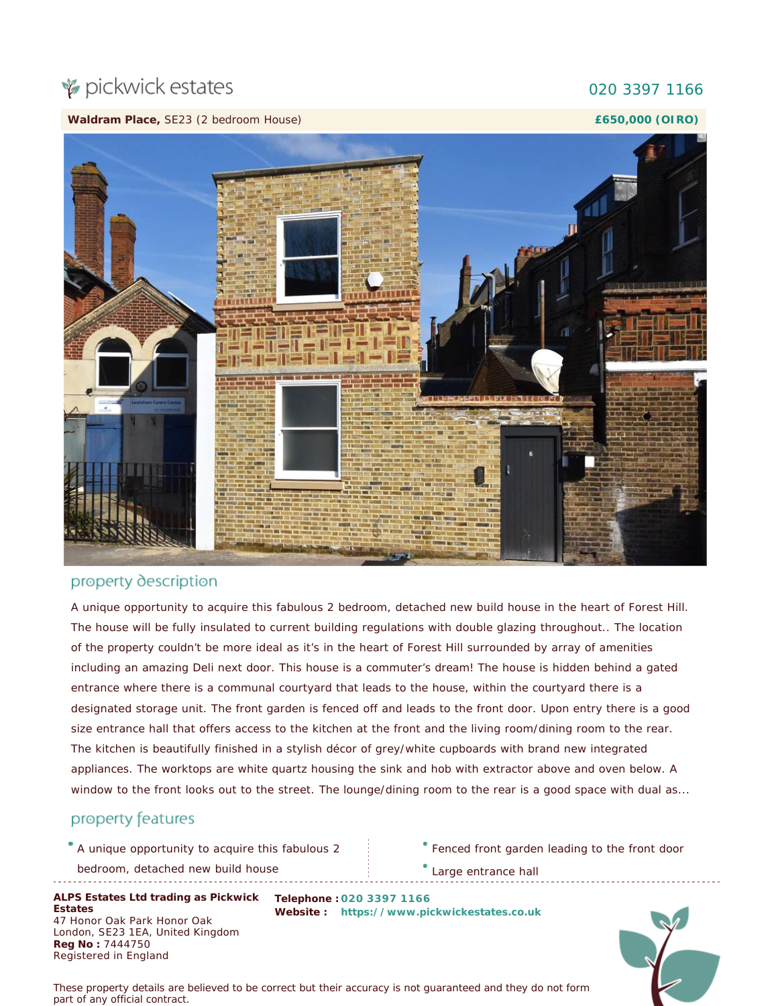# pickwick estates

#### **Waldram Place,** SE23 (2 bedroom House)

#### 020 3397 1166

**£650,000 (OIRO)**



### property description

A unique opportunity to acquire this fabulous 2 bedroom, detached new build house in the heart of Forest Hill. The house will be fully insulated to current building regulations with double glazing throughout.. The location of the property couldn't be more ideal as it's in the heart of Forest Hill surrounded by array of amenities including an amazing Deli next door. This house is a commuter's dream! The house is hidden behind a gated entrance where there is a communal courtyard that leads to the house, within the courtyard there is a designated storage unit. The front garden is fenced off and leads to the front door. Upon entry there is a good size entrance hall that offers access to the kitchen at the front and the living room/dining room to the rear. The kitchen is beautifully finished in a stylish décor of grey/white cupboards with brand new integrated appliances. The worktops are white quartz housing the sink and hob with extractor above and oven below. A window to the front looks out to the street. The lounge/dining room to the rear is a good space with dual as...

## property features

A unique opportunity to acquire this fabulous 2

bedroom, detached new build house

**ALPS Estates Ltd trading as Pickwick Telephone : 020 3397 1166** Estates<br>47 Honor Oak Park Honor Oak London, SE23 1EA, United Kingdom **Estates Reg No :** 7444750 Registered in England

**Website :**  [https://www.pickwickestates.co.uk](https://www.pickwickestates.co.uk/)

Fenced front garden leading to the front door

Large entrance hall

*These property details are believed to be correct but their accuracy is not guaranteed and they do not form part of any official contract.*